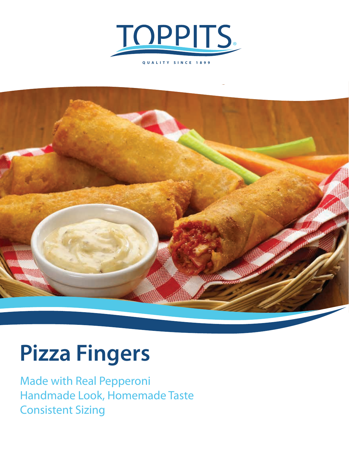

**QUALITY SINCE 1899**



# **Pizza Fingers**

Made with Real Pepperoni Handmade Look, Homemade Taste Consistent Sizing